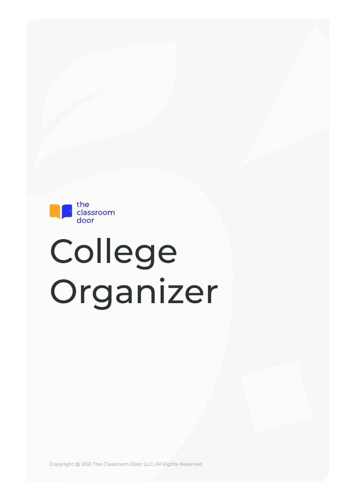

# College Organizer

Copyright @ 2021 The Classroom Door LLC; All Rights Reserved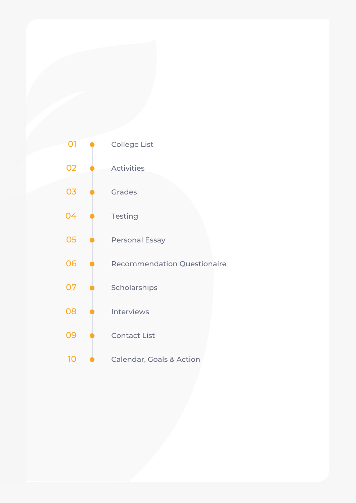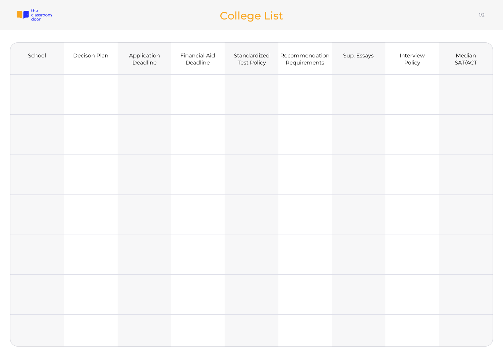

# College List 1/2

| School | Decison Plan | Application<br>Deadline | <b>Financial Aid</b><br>Deadline | Standardized<br><b>Test Policy</b> | Recommendation<br>Requirements | Sup. Essays | Interview<br>Policy | Median<br>SAT/ACT |
|--------|--------------|-------------------------|----------------------------------|------------------------------------|--------------------------------|-------------|---------------------|-------------------|
|        |              |                         |                                  |                                    |                                |             |                     |                   |
|        |              |                         |                                  |                                    |                                |             |                     |                   |
|        |              |                         |                                  |                                    |                                |             |                     |                   |
|        |              |                         |                                  |                                    |                                |             |                     |                   |
|        |              |                         |                                  |                                    |                                |             |                     |                   |
|        |              |                         |                                  |                                    |                                |             |                     |                   |
|        |              |                         |                                  |                                    |                                |             |                     |                   |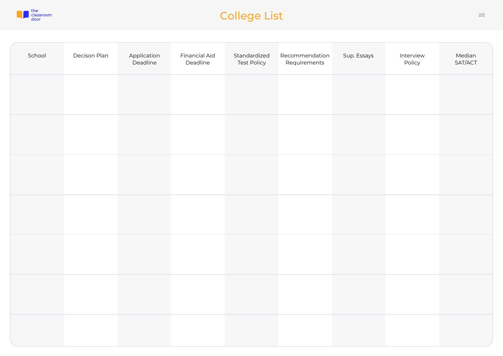

# College List 2/2

| School | Decison Plan | Application<br>Deadline | <b>Financial Aid</b><br>Deadline | Standardized<br><b>Test Policy</b> | Recommendation<br>Requirements | Sup. Essays | Interview<br>Policy | Median<br>SAT/ACT |
|--------|--------------|-------------------------|----------------------------------|------------------------------------|--------------------------------|-------------|---------------------|-------------------|
|        |              |                         |                                  |                                    |                                |             |                     |                   |
|        |              |                         |                                  |                                    |                                |             |                     |                   |
|        |              |                         |                                  |                                    |                                |             |                     |                   |
|        |              |                         |                                  |                                    |                                |             |                     |                   |
|        |              |                         |                                  |                                    |                                |             |                     |                   |
|        |              |                         |                                  |                                    |                                |             |                     |                   |
|        |              |                         |                                  |                                    |                                |             |                     |                   |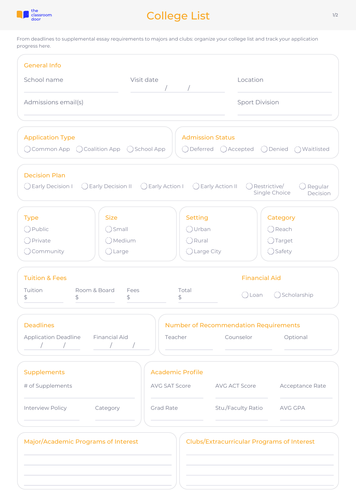

# College List

From deadlines to supplemental essay requirements to majors and clubs: organize your college list and track your application progress here.

| <b>General Info</b>                                                                             |                                                        |                                                                        |                                                                               |                                                      |
|-------------------------------------------------------------------------------------------------|--------------------------------------------------------|------------------------------------------------------------------------|-------------------------------------------------------------------------------|------------------------------------------------------|
| School name                                                                                     | Visit date                                             |                                                                        | Location                                                                      |                                                      |
| Admissions email(s)                                                                             |                                                        |                                                                        | <b>Sport Division</b>                                                         |                                                      |
| <b>Application Type</b><br>$\bigcirc$ Common App $\bigcirc$ Coalition App $\bigcirc$ School App |                                                        |                                                                        | <b>Admission Status</b><br>$\bigcirc$ Deferred $\bigcirc$ Accepted $\bigcirc$ | Denied () Waitlisted                                 |
| <b>Decision Plan</b><br>( ) Early Decision I                                                    | ◯ Early Decision II ◯ Early Action I ◯ Early Action II |                                                                        |                                                                               | Restrictive/<br>Regular<br>Single Choice<br>Decision |
| <b>Type</b><br>O Public<br>◯ Private<br>$\bigcirc$ Community                                    | <b>Size</b><br>() Small<br>OMedium<br>◯ Large          | <b>Setting</b><br>()Urban<br>$\bigcirc$ Rural<br>$\bigcirc$ Large City |                                                                               | Category<br>○ Reach<br>◯ Target<br>◯ Safety          |
| <b>Tuition &amp; Fees</b><br>Tuition<br>Room & Board<br>\$<br>\$                                | Fees<br>\$                                             | Total<br>\$                                                            | <b>Financial Aid</b><br>( ) Loan                                              | Scholarship                                          |
| <b>Deadlines</b><br><b>Application Deadline</b><br>$\sqrt{2}$<br>$\sqrt{2}$                     | <b>Financial Aid</b><br>$\sqrt{2}$                     | Teacher                                                                | <b>Number of Recommendation Requirements</b><br>Counselor                     | Optional                                             |
| <b>Supplements</b><br># of Supplements                                                          |                                                        | <b>Academic Profile</b><br>AVG SAT Score                               | AVG ACT Score                                                                 | Acceptance Rate                                      |
| Interview Policy                                                                                | Category                                               | <b>Grad Rate</b>                                                       | Stu./Faculty Ratio                                                            | AVG GPA                                              |
| Major/Academic Programs of Interest                                                             |                                                        |                                                                        | <b>Clubs/Extracurricular Programs of Interest</b>                             |                                                      |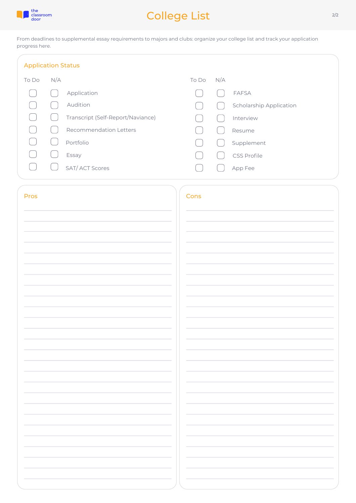

# College List

From deadlines to supplemental essay requirements to majors and clubs: organize your college list and track your application progress here.

| <b>Application Status</b> |     |                                   |       |     |                                |
|---------------------------|-----|-----------------------------------|-------|-----|--------------------------------|
| To Do                     | N/A |                                   | To Do | N/A |                                |
|                           |     | Application                       |       |     | <b>FAFSA</b>                   |
|                           |     | Audition                          |       |     | <b>Scholarship Application</b> |
|                           |     | Transcript (Self-Report/Naviance) |       |     | Interview                      |
|                           |     | <b>Recommendation Letters</b>     |       |     | Resume                         |
|                           |     | Portfolio                         |       |     | Supplement                     |
|                           |     | Essay                             |       |     | <b>CSS Profile</b>             |
|                           |     | <b>SAT/ACT Scores</b>             |       |     | App Fee                        |
|                           |     |                                   |       |     |                                |

| Pros | Cons |
|------|------|
|      |      |
|      |      |
|      |      |
|      |      |
|      |      |
|      |      |
|      |      |
|      |      |
|      |      |
|      |      |
|      |      |
|      |      |
|      |      |
|      |      |
|      |      |
|      |      |
|      |      |
|      |      |
|      |      |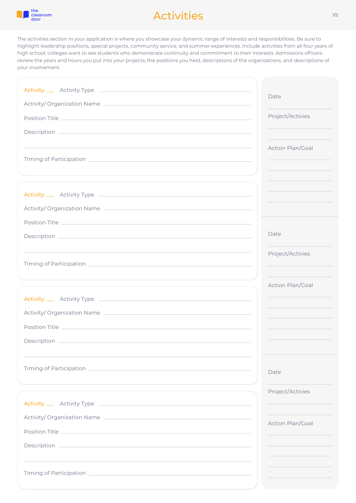

## Activities

The activities section in your application is where you showcase your dynamic range of interests and responsibilities. Be sure to highlight leadership positions, special projects, community service, and summer experiences. Include activities from all four years of high school; colleges want to see students who demonstrate continuity and commitment to their interests. Admissions officers review the years and hours you put into your projects, the positions you held, descriptions of the organizations, and descriptions of your involvement.

| Activity/Organization Name | Date                    |
|----------------------------|-------------------------|
|                            | Project/Activies        |
|                            |                         |
|                            | <b>Action Plan/Goal</b> |
|                            |                         |
|                            |                         |
|                            |                         |
|                            |                         |
|                            |                         |
|                            |                         |
|                            | Date                    |
|                            | Project/Activies        |
|                            |                         |
|                            |                         |
|                            | Action Plan/Goal        |
|                            |                         |
| Activity/Organization Name |                         |
| Position Title             |                         |
|                            |                         |
|                            |                         |
|                            | Date                    |
|                            |                         |
|                            | Project/Activies        |
|                            |                         |
| Activity/Organization Name | Action Plan/Goal        |
|                            |                         |
| Description                |                         |
|                            |                         |
|                            |                         |
|                            |                         |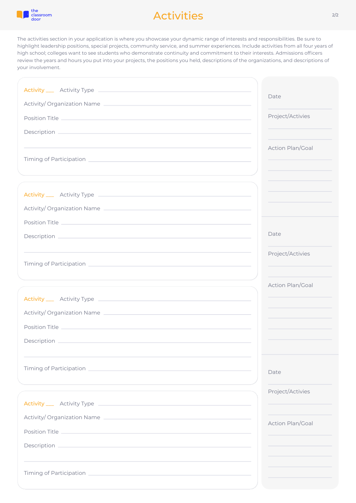

## Activities

The activities section in your application is where you showcase your dynamic range of interests and responsibilities. Be sure to highlight leadership positions, special projects, community service, and summer experiences. Include activities from all four years of high school; colleges want to see students who demonstrate continuity and commitment to their interests. Admissions officers review the years and hours you put into your projects, the positions you held, descriptions of the organizations, and descriptions of your involvement.

| Activity/Organization Name                                                                                                                                                                                                     | Date                    |
|--------------------------------------------------------------------------------------------------------------------------------------------------------------------------------------------------------------------------------|-------------------------|
|                                                                                                                                                                                                                                | Project/Activies        |
|                                                                                                                                                                                                                                |                         |
|                                                                                                                                                                                                                                | Action Plan/Goal        |
|                                                                                                                                                                                                                                |                         |
|                                                                                                                                                                                                                                |                         |
|                                                                                                                                                                                                                                |                         |
|                                                                                                                                                                                                                                |                         |
| Activity/Organization Name                                                                                                                                                                                                     |                         |
|                                                                                                                                                                                                                                |                         |
|                                                                                                                                                                                                                                | Date                    |
|                                                                                                                                                                                                                                | Project/Activies        |
|                                                                                                                                                                                                                                |                         |
|                                                                                                                                                                                                                                | Action Plan/Goal        |
|                                                                                                                                                                                                                                |                         |
|                                                                                                                                                                                                                                |                         |
| Activity/Organization Name                                                                                                                                                                                                     |                         |
| Position Title                                                                                                                                                                                                                 |                         |
|                                                                                                                                                                                                                                |                         |
|                                                                                                                                                                                                                                |                         |
| Timing of Participation and the control of the control of the control of the control of the control of the control of the control of the control of the control of the control of the control of the control of the control of | Date                    |
|                                                                                                                                                                                                                                | Project/Activies        |
|                                                                                                                                                                                                                                |                         |
| Activity/Organization Name                                                                                                                                                                                                     |                         |
|                                                                                                                                                                                                                                | <b>Action Plan/Goal</b> |
| Description _____                                                                                                                                                                                                              |                         |
|                                                                                                                                                                                                                                |                         |
|                                                                                                                                                                                                                                |                         |
|                                                                                                                                                                                                                                |                         |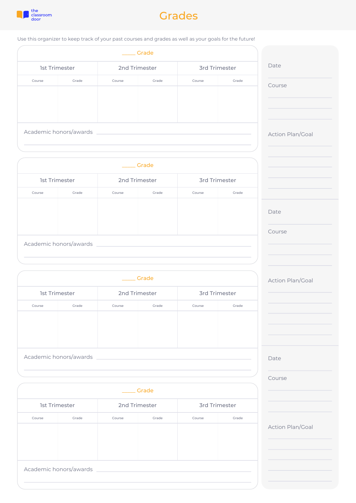

## Grades

Use this organizer to keep track of your past courses and grades as well as your goals for the future!

|                      |                        |               | Grade |                      |       |
|----------------------|------------------------|---------------|-------|----------------------|-------|
| <b>1st Trimester</b> |                        | 2nd Trimester |       | <b>3rd Trimester</b> |       |
| Course               | Grade                  | Course        | Grade | Course               | Grade |
|                      |                        |               |       |                      |       |
|                      |                        |               |       |                      |       |
|                      |                        |               |       |                      |       |
|                      |                        |               |       |                      |       |
|                      | Academic honors/awards |               |       |                      |       |

|                      |                        |               | Grade |                      |       |
|----------------------|------------------------|---------------|-------|----------------------|-------|
| <b>1st Trimester</b> |                        | 2nd Trimester |       | <b>3rd Trimester</b> |       |
| Course               | Grade                  | Course        | Grade | Course               | Grade |
|                      |                        |               |       |                      |       |
|                      | Academic honors/awards |               |       |                      |       |

|                      |                        |                 | Grade |                      |       |
|----------------------|------------------------|-----------------|-------|----------------------|-------|
| <b>1st Trimester</b> |                        | 2nd Trimester   |       | <b>3rd Trimester</b> |       |
| Course               | Grade                  | Grade<br>Course |       | Course               | Grade |
|                      |                        |                 |       |                      |       |
|                      |                        |                 |       |                      |       |
|                      |                        |                 |       |                      |       |
|                      | Academic honors/awards |                 |       |                      |       |

|                      |                        |               | Grade |                      |       |
|----------------------|------------------------|---------------|-------|----------------------|-------|
| <b>1st Trimester</b> |                        | 2nd Trimester |       | <b>3rd Trimester</b> |       |
| Course               | Grade                  | Course        | Grade | Course               | Grade |
|                      |                        |               |       |                      |       |
|                      | Academic honors/awards |               |       |                      |       |

| Date                    |  |
|-------------------------|--|
|                         |  |
|                         |  |
| Course                  |  |
|                         |  |
|                         |  |
|                         |  |
|                         |  |
|                         |  |
| Action Plan/Goal        |  |
|                         |  |
|                         |  |
|                         |  |
|                         |  |
|                         |  |
|                         |  |
|                         |  |
|                         |  |
|                         |  |
|                         |  |
| Date                    |  |
|                         |  |
|                         |  |
| Course                  |  |
|                         |  |
|                         |  |
|                         |  |
|                         |  |
|                         |  |
|                         |  |
|                         |  |
| <b>Action Plan/Goal</b> |  |
|                         |  |
|                         |  |
|                         |  |
|                         |  |
|                         |  |
|                         |  |
|                         |  |
|                         |  |
|                         |  |
|                         |  |
| Date                    |  |
|                         |  |
|                         |  |
| Course                  |  |
|                         |  |
|                         |  |
|                         |  |
|                         |  |
|                         |  |
|                         |  |
| <b>Action Plan/Goal</b> |  |
|                         |  |
|                         |  |
|                         |  |
|                         |  |
|                         |  |
|                         |  |
|                         |  |
|                         |  |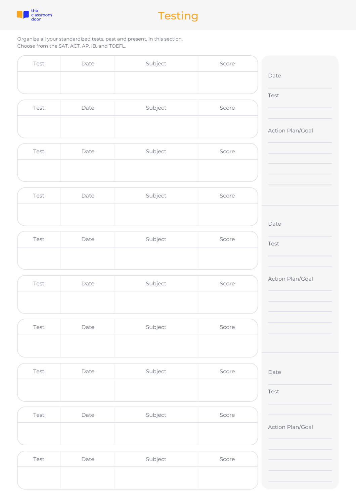



Organize all your standardized tests, past and present, in this section. Choose from the SAT, ACT, AP, IB, and TOEFL.

| Test | Date | Subject | Score |
|------|------|---------|-------|
|      |      |         |       |
|      |      |         |       |
|      |      |         |       |

| Test | Date | Subject | Score  |
|------|------|---------|--------|
|      |      |         |        |
|      |      |         | $\sim$ |

| Test | Date | Subject | Score  |
|------|------|---------|--------|
|      |      |         | $\sim$ |

| Test | Date | Subject | Score |
|------|------|---------|-------|
|      |      |         |       |

| Test | Date | Subject | Score  |
|------|------|---------|--------|
|      |      |         | $\sim$ |

| Test | Date | Subject | Score |
|------|------|---------|-------|
|      |      |         |       |

| Test | Date | Subject | Score |
|------|------|---------|-------|
|      |      |         |       |

| Test | Date | Subject | Score |
|------|------|---------|-------|
|      |      |         |       |

| Test | Date | Subject | Score |
|------|------|---------|-------|
|      |      |         |       |

| Test | Date | Subject | Score |
|------|------|---------|-------|
|      |      |         |       |

| Date                    |  |
|-------------------------|--|
|                         |  |
|                         |  |
|                         |  |
| Test                    |  |
|                         |  |
|                         |  |
|                         |  |
|                         |  |
|                         |  |
| <b>Action Plan/Goal</b> |  |
|                         |  |
|                         |  |
|                         |  |
|                         |  |
|                         |  |
|                         |  |
|                         |  |
|                         |  |
|                         |  |
|                         |  |
|                         |  |
|                         |  |
|                         |  |
|                         |  |
|                         |  |
|                         |  |
| Date                    |  |
|                         |  |
|                         |  |
| Test                    |  |
|                         |  |
|                         |  |
|                         |  |
|                         |  |
|                         |  |
|                         |  |
|                         |  |
| Action Plan/Goal        |  |
|                         |  |
|                         |  |
|                         |  |
|                         |  |
|                         |  |
|                         |  |
|                         |  |
|                         |  |
|                         |  |
|                         |  |
|                         |  |
|                         |  |
|                         |  |
|                         |  |
|                         |  |
|                         |  |
| Date                    |  |
|                         |  |
|                         |  |
| Test                    |  |
|                         |  |
|                         |  |
|                         |  |
|                         |  |
|                         |  |
|                         |  |
| <b>Action Plan/Goal</b> |  |
|                         |  |
|                         |  |
|                         |  |
|                         |  |
|                         |  |
|                         |  |
|                         |  |
|                         |  |
|                         |  |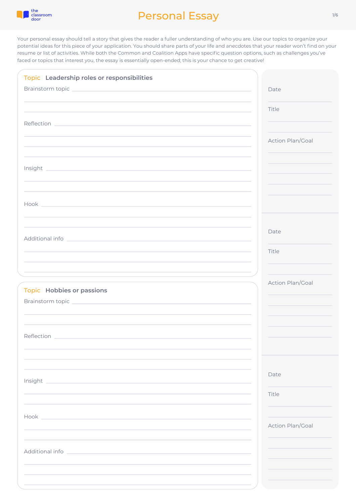

| Topic Leadership roles or responsibilities                                                                                  |                  |
|-----------------------------------------------------------------------------------------------------------------------------|------------------|
| Brainstorm topic experience and the contract of the contract of the contract of the contract of the contract of             | Date             |
|                                                                                                                             |                  |
|                                                                                                                             | Title            |
|                                                                                                                             |                  |
|                                                                                                                             | Action Plan/Goal |
|                                                                                                                             |                  |
|                                                                                                                             |                  |
|                                                                                                                             |                  |
|                                                                                                                             |                  |
|                                                                                                                             |                  |
|                                                                                                                             |                  |
|                                                                                                                             |                  |
|                                                                                                                             | Date             |
|                                                                                                                             |                  |
|                                                                                                                             | Title            |
|                                                                                                                             |                  |
| the contract of the contract of the contract of the contract of the contract of the contract of the contract of             |                  |
| <b>Topic Hobbies or passions</b>                                                                                            | Action Plan/Goal |
|                                                                                                                             |                  |
|                                                                                                                             |                  |
|                                                                                                                             |                  |
| Reflection                                                                                                                  |                  |
|                                                                                                                             |                  |
|                                                                                                                             |                  |
|                                                                                                                             |                  |
| Insight<br>and the control of the control of the control of the control of the control of the control of the control of the | Date             |
|                                                                                                                             | Title            |
|                                                                                                                             |                  |
| Hook <u>the contract of the contract of the contract of the contract of the contract of</u>                                 |                  |
|                                                                                                                             | Action Plan/Goal |
|                                                                                                                             |                  |
| Additional info<br><u> 1980 - Johann Barbara, martxa eta politikaria (h. 1980).</u>                                         |                  |
|                                                                                                                             |                  |
|                                                                                                                             |                  |
|                                                                                                                             |                  |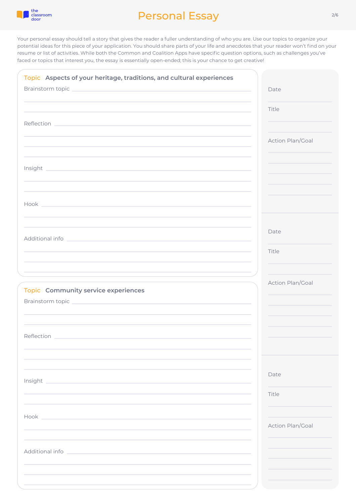

| Topic Aspects of your heritage, traditions, and cultural experiences                                                                                                                                                                                                                                                                               |                  |
|----------------------------------------------------------------------------------------------------------------------------------------------------------------------------------------------------------------------------------------------------------------------------------------------------------------------------------------------------|------------------|
| Brainstorm topic and the contract of the contract of the contract of the contract of the contract of the contract of the contract of the contract of the contract of the contract of the contract of the contract of the contr<br>and the control of the control of the control of the control of the control of the control of the control of the | Date             |
|                                                                                                                                                                                                                                                                                                                                                    | Title            |
|                                                                                                                                                                                                                                                                                                                                                    |                  |
| ,我们也不会有一个人的人,我们也不会有一个人的人。""我们,我们也不会有一个人的人,我们也不会有一个人的人,我们也不会有一个人的人,我们也不会有一个人的人,我们                                                                                                                                                                                                                                                                   | Action Plan/Goal |
|                                                                                                                                                                                                                                                                                                                                                    |                  |
|                                                                                                                                                                                                                                                                                                                                                    |                  |
|                                                                                                                                                                                                                                                                                                                                                    |                  |
|                                                                                                                                                                                                                                                                                                                                                    |                  |
|                                                                                                                                                                                                                                                                                                                                                    |                  |
|                                                                                                                                                                                                                                                                                                                                                    | Date             |
|                                                                                                                                                                                                                                                                                                                                                    | Title            |
| and the control of the control of the control of the control of the control of the control of the control of the                                                                                                                                                                                                                                   |                  |
|                                                                                                                                                                                                                                                                                                                                                    | Action Plan/Goal |
| Topic Community service experiences<br>Brainstorm topic entertainment of the state of the state of the state of the state of the state of the state o                                                                                                                                                                                              |                  |
|                                                                                                                                                                                                                                                                                                                                                    |                  |
|                                                                                                                                                                                                                                                                                                                                                    |                  |
| Reflection                                                                                                                                                                                                                                                                                                                                         |                  |
|                                                                                                                                                                                                                                                                                                                                                    |                  |
|                                                                                                                                                                                                                                                                                                                                                    | Date             |
| Insight<br>and the state of the state of the state of the state of the state of the state of the state of the                                                                                                                                                                                                                                      | Title            |
|                                                                                                                                                                                                                                                                                                                                                    |                  |
| Hook and the state of the state of the state of the state of the state of the state of the state of the state of the state of the state of the state of the state of the state of the state of the state of the state of the s                                                                                                                     | Action Plan/Goal |
|                                                                                                                                                                                                                                                                                                                                                    |                  |
| Additional info                                                                                                                                                                                                                                                                                                                                    |                  |
|                                                                                                                                                                                                                                                                                                                                                    |                  |
|                                                                                                                                                                                                                                                                                                                                                    |                  |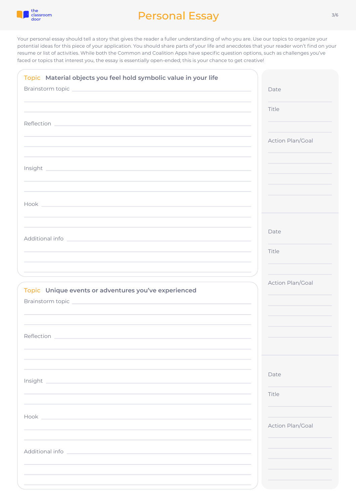

| Topic Material objects you feel hold symbolic value in your life<br>the contract of the contract of the contract of the contract of the contract of the contract of the contract of<br>Reflection <b>Experience and Contract Contract Contract Contract Contract Contract Contract Contract Contract Contract Contract Contract Contract Contract Contract Contract Contract Contract Contract Contract Contract Contra</b> | Date<br>Title<br>Action Plan/Goal |
|-----------------------------------------------------------------------------------------------------------------------------------------------------------------------------------------------------------------------------------------------------------------------------------------------------------------------------------------------------------------------------------------------------------------------------|-----------------------------------|
| Hook and the state of the state of the state of the state of the state of the state of the state of the state of the state of the state of the state of the state of the state of the state of the state of the state of the s                                                                                                                                                                                              |                                   |
|                                                                                                                                                                                                                                                                                                                                                                                                                             | Date<br>Title                     |
| Topic Unique events or adventures you've experienced                                                                                                                                                                                                                                                                                                                                                                        | Action Plan/Goal                  |
| Reflection                                                                                                                                                                                                                                                                                                                                                                                                                  |                                   |
| Insight                                                                                                                                                                                                                                                                                                                                                                                                                     | Date<br>Title                     |
|                                                                                                                                                                                                                                                                                                                                                                                                                             | Action Plan/Goal                  |
| Additional info<br>the contract of the contract of the contract of the contract of the contract of                                                                                                                                                                                                                                                                                                                          |                                   |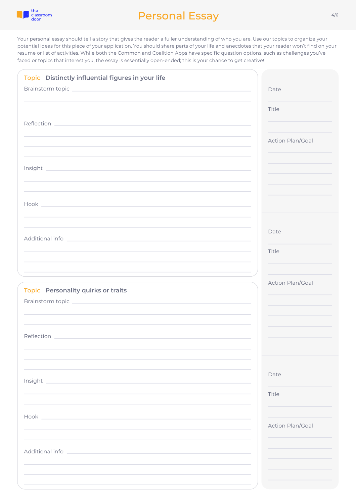

| Topic Distinctly influential figures in your life                                                                                                                                                                              |                  |
|--------------------------------------------------------------------------------------------------------------------------------------------------------------------------------------------------------------------------------|------------------|
|                                                                                                                                                                                                                                | Date             |
| and the control of the control of the control of the control of the control of the control of the control of the                                                                                                               | Title            |
|                                                                                                                                                                                                                                | Action Plan/Goal |
|                                                                                                                                                                                                                                |                  |
|                                                                                                                                                                                                                                |                  |
|                                                                                                                                                                                                                                |                  |
| Hook and the state of the state of the state of the state of the state of the state of the state of the state of the state of the state of the state of the state of the state of the state of the state of the state of the s |                  |
|                                                                                                                                                                                                                                |                  |
| Additional information and the contract of the contract of the contract of the contract of the contract of the                                                                                                                 | Date             |
|                                                                                                                                                                                                                                | Title            |
|                                                                                                                                                                                                                                | Action Plan/Goal |
| Topic Personality quirks or traits<br>Brainstorm topic entertainment and the control of the control of the control of the control of the control of                                                                            |                  |
|                                                                                                                                                                                                                                |                  |
| Reflection                                                                                                                                                                                                                     |                  |
|                                                                                                                                                                                                                                |                  |
|                                                                                                                                                                                                                                |                  |
| Insight                                                                                                                                                                                                                        | Date             |
|                                                                                                                                                                                                                                | Title            |
| Hook and the state of the state of the state of the state of the state of the state of the state of the state of the state of the state of the state of the state of the state of the state of the state of the state of the s | Action Plan/Goal |
|                                                                                                                                                                                                                                |                  |
| Additional information and the contract of the contract of the contract of the contract of the contract of the                                                                                                                 |                  |
|                                                                                                                                                                                                                                |                  |
|                                                                                                                                                                                                                                |                  |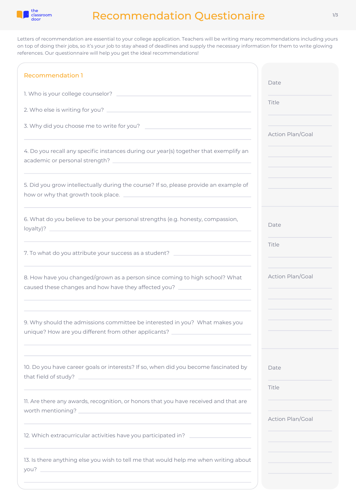

## Recommendation Questionaire

Letters of recommendation are essential to your college application. Teachers will be writing many recommendations including yours on top of doing their jobs, so it's your job to stay ahead of deadlines and supply the necessary information for them to write glowing references. Our questionnaire will help you get the ideal recommendations!

| <b>Recommendation 1</b>                                                                                                                                                                                                                                                                                           | Date             |
|-------------------------------------------------------------------------------------------------------------------------------------------------------------------------------------------------------------------------------------------------------------------------------------------------------------------|------------------|
|                                                                                                                                                                                                                                                                                                                   |                  |
|                                                                                                                                                                                                                                                                                                                   | Title            |
| 3. Why did you choose me to write for you?                                                                                                                                                                                                                                                                        | Action Plan/Goal |
| 4. Do you recall any specific instances during our year(s) together that exemplify an                                                                                                                                                                                                                             |                  |
| 5. Did you grow intellectually during the course? If so, please provide an example of                                                                                                                                                                                                                             |                  |
| 6. What do you believe to be your personal strengths (e.g. honesty, compassion,                                                                                                                                                                                                                                   | Date             |
| the control of the control of the control of the control of the control of the control of the control of the control of the control of the control of the control of the control of the control of the control of the control<br>7. To what do you attribute your success as a student? _________________________ | Title            |
| 8. How have you changed/grown as a person since coming to high school? What<br>caused these changes and how have they affected you? ___________________________                                                                                                                                                   | Action Plan/Goal |
| 9. Why should the admissions committee be interested in you? What makes you<br>unique? How are you different from other applicants? _                                                                                                                                                                             |                  |
| 10. Do you have career goals or interests? If so, when did you become fascinated by                                                                                                                                                                                                                               | Date             |
| 11. Are there any awards, recognition, or honors that you have received and that are                                                                                                                                                                                                                              | Title            |
| and the control of the control of the control of the control of the control of the control of the control of the<br>12. Which extracurricular activities have you participated in?                                                                                                                                | Action Plan/Goal |
| 13. Is there anything else you wish to tell me that would help me when writing about<br>you? Not also a series that the contract of the contract of the contract of the contract of the contract of the                                                                                                           |                  |
|                                                                                                                                                                                                                                                                                                                   |                  |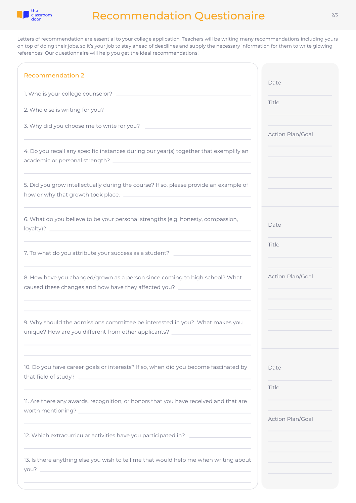

## Recommendation Questionaire

Letters of recommendation are essential to your college application. Teachers will be writing many recommendations including yours on top of doing their jobs, so it's your job to stay ahead of deadlines and supply the necessary information for them to write glowing references. Our questionnaire will help you get the ideal recommendations!

| <b>Recommendation 2</b>                                                                                                                                                                                                                                                                                           | Date             |
|-------------------------------------------------------------------------------------------------------------------------------------------------------------------------------------------------------------------------------------------------------------------------------------------------------------------|------------------|
|                                                                                                                                                                                                                                                                                                                   |                  |
|                                                                                                                                                                                                                                                                                                                   | Title            |
| 3. Why did you choose me to write for you?                                                                                                                                                                                                                                                                        | Action Plan/Goal |
| 4. Do you recall any specific instances during our year(s) together that exemplify an                                                                                                                                                                                                                             |                  |
| 5. Did you grow intellectually during the course? If so, please provide an example of                                                                                                                                                                                                                             |                  |
| 6. What do you believe to be your personal strengths (e.g. honesty, compassion,                                                                                                                                                                                                                                   | Date             |
| the control of the control of the control of the control of the control of the control of the control of the control of the control of the control of the control of the control of the control of the control of the control<br>7. To what do you attribute your success as a student? _________________________ | Title            |
| 8. How have you changed/grown as a person since coming to high school? What<br>caused these changes and how have they affected you? ___________________________                                                                                                                                                   | Action Plan/Goal |
| 9. Why should the admissions committee be interested in you? What makes you<br>unique? How are you different from other applicants?                                                                                                                                                                               |                  |
| 10. Do you have career goals or interests? If so, when did you become fascinated by                                                                                                                                                                                                                               | Date             |
| 11. Are there any awards, recognition, or honors that you have received and that are                                                                                                                                                                                                                              | Title            |
| and the control of the control of the control of the control of the control of the control of the control of the<br>12. Which extracurricular activities have you participated in? _________________                                                                                                              | Action Plan/Goal |
| 13. Is there anything else you wish to tell me that would help me when writing about                                                                                                                                                                                                                              |                  |
|                                                                                                                                                                                                                                                                                                                   |                  |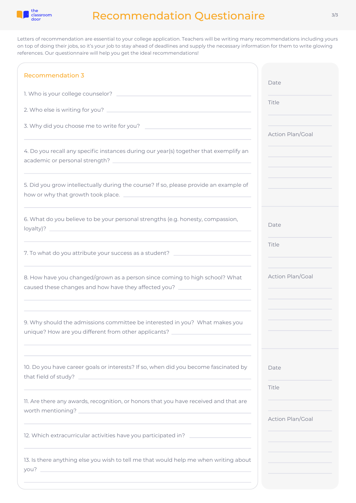

## Recommendation Questionaire

Letters of recommendation are essential to your college application. Teachers will be writing many recommendations including yours on top of doing their jobs, so it's your job to stay ahead of deadlines and supply the necessary information for them to write glowing references. Our questionnaire will help you get the ideal recommendations!

| <b>Recommendation 3</b>                                                                                                                                                                                                                                                                                          | Date             |
|------------------------------------------------------------------------------------------------------------------------------------------------------------------------------------------------------------------------------------------------------------------------------------------------------------------|------------------|
|                                                                                                                                                                                                                                                                                                                  |                  |
|                                                                                                                                                                                                                                                                                                                  | Title            |
| 3. Why did you choose me to write for you?                                                                                                                                                                                                                                                                       | Action Plan/Goal |
| 4. Do you recall any specific instances during our year(s) together that exemplify an                                                                                                                                                                                                                            |                  |
| 5. Did you grow intellectually during the course? If so, please provide an example of                                                                                                                                                                                                                            |                  |
| 6. What do you believe to be your personal strengths (e.g. honesty, compassion,<br>the control of the control of the control of the control of the control of the control of the control of the control of the control of the control of the control of the control of the control of the control of the control | Date             |
| 7. To what do you attribute your success as a student? _________________________                                                                                                                                                                                                                                 | Title            |
| 8. How have you changed/grown as a person since coming to high school? What<br>caused these changes and how have they affected you? ___________________________                                                                                                                                                  | Action Plan/Goal |
| 9. Why should the admissions committee be interested in you? What makes you<br>unique? How are you different from other applicants? _                                                                                                                                                                            |                  |
| 10. Do you have career goals or interests? If so, when did you become fascinated by                                                                                                                                                                                                                              | Date             |
| 11. Are there any awards, recognition, or honors that you have received and that are                                                                                                                                                                                                                             | Title            |
| and the control of the control of the control of the control of the control of the control of the control of the<br>12. Which extracurricular activities have you participated in?                                                                                                                               | Action Plan/Goal |
| 13. Is there anything else you wish to tell me that would help me when writing about<br>you? The company of the company of the company of the company of the company of the company of the company of                                                                                                            |                  |
|                                                                                                                                                                                                                                                                                                                  |                  |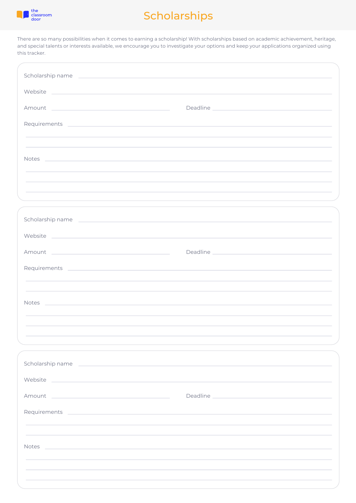

# Scholarships

There are so many possibilities when it comes to earning a scholarship! With scholarships based on academic achievement, heritage, and special talents or interests available, we encourage you to investigate your options and keep your applications organized using this tracker.

| Scholarship name entertainment and the state of the state of the state of the state of the state of the state of                                                                                                                              |                                                                                                                                                                                                                                |
|-----------------------------------------------------------------------------------------------------------------------------------------------------------------------------------------------------------------------------------------------|--------------------------------------------------------------------------------------------------------------------------------------------------------------------------------------------------------------------------------|
| Website Paradische School and Charles and Charles and Charles and Charles and Charles and Charles and Charles and Charles and Charles and Charles and Charles and Charles and Charles and Charles and Charles and Charles and                 |                                                                                                                                                                                                                                |
| Amount<br>the control of the control of the control of the control of the control of                                                                                                                                                          |                                                                                                                                                                                                                                |
|                                                                                                                                                                                                                                               |                                                                                                                                                                                                                                |
|                                                                                                                                                                                                                                               |                                                                                                                                                                                                                                |
| <b>Notes</b><br>the control of the control of the control of the control of the control of the control of the control of the control of the control of the control of the control of the control of the control of the control of the control |                                                                                                                                                                                                                                |
|                                                                                                                                                                                                                                               |                                                                                                                                                                                                                                |
|                                                                                                                                                                                                                                               |                                                                                                                                                                                                                                |
|                                                                                                                                                                                                                                               |                                                                                                                                                                                                                                |
| Scholarship name                                                                                                                                                                                                                              |                                                                                                                                                                                                                                |
| Website New York Product of the Community of the Community of the Community of the Community of the Community of the Community of the Community of the Community of the Community of the Community of the Community of the Com                |                                                                                                                                                                                                                                |
| and the control of the control of the control of the control of the control of<br>Amount                                                                                                                                                      | Deadline and the contract of the contract of the contract of the contract of the contract of the contract of the contract of the contract of the contract of the contract of the contract of the contract of the contract of t |
| Requirements experiences and a series of the series of the series of the series of the series of the series of                                                                                                                                |                                                                                                                                                                                                                                |
|                                                                                                                                                                                                                                               |                                                                                                                                                                                                                                |
| <b>Notes</b><br>and the control of the control of the control of the control of the control of the control of the control of the                                                                                                              |                                                                                                                                                                                                                                |
|                                                                                                                                                                                                                                               |                                                                                                                                                                                                                                |
|                                                                                                                                                                                                                                               |                                                                                                                                                                                                                                |
| Scholarship name and the contract of the contract of the contract of the contract of the contract of the contract of the contract of the contract of the contract of the contract of the contract of the contract of the contr                |                                                                                                                                                                                                                                |
| Website<br><u> Alexandro de la contrada de la contrada de la contrada de la contrada de la contrada de la contrada de la co</u>                                                                                                               |                                                                                                                                                                                                                                |
| Amount<br>the control of the control of the control of the control of the control of the control of                                                                                                                                           | Deadline and the contract of the contract of the contract of the contract of the contract of the contract of the contract of the contract of the contract of the contract of the contract of the contract of the contract of t |
| Requirements experiences and a series of the series of the series of the series of the series of the series of                                                                                                                                |                                                                                                                                                                                                                                |
|                                                                                                                                                                                                                                               |                                                                                                                                                                                                                                |
| Notes<br>and the control of the control of the control of the control of the control of the control of the control of the                                                                                                                     |                                                                                                                                                                                                                                |
|                                                                                                                                                                                                                                               |                                                                                                                                                                                                                                |
|                                                                                                                                                                                                                                               |                                                                                                                                                                                                                                |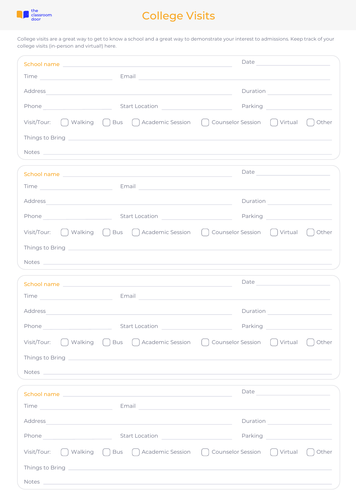

# College Visits

College visits are a great way to get to know a school and a great way to demonstrate your interest to admissions. Keep track of your college visits (in-person and virtual!) here.

| School name entertainment and the state of the state of the state of the state of the state of the state of the                                                                                                                                                                                                                                           | Date and the contract of the contract of the contract of the contract of the contract of the contract of the contract of the contract of the contract of the contract of the contract of the contract of the contract of the c       |
|-----------------------------------------------------------------------------------------------------------------------------------------------------------------------------------------------------------------------------------------------------------------------------------------------------------------------------------------------------------|--------------------------------------------------------------------------------------------------------------------------------------------------------------------------------------------------------------------------------------|
| Email and the company of the company of the company of the company of the company of the company of the company<br>Time and the contract of the contract of the contract of the contract of the contract of the contract of the contract of the contract of the contract of the contract of the contract of the contract of the contract of the c         |                                                                                                                                                                                                                                      |
| Address                                                                                                                                                                                                                                                                                                                                                   |                                                                                                                                                                                                                                      |
| Phone example and start Location and Start Location                                                                                                                                                                                                                                                                                                       | Parking <u>and the second of the second of the second of the second of the second of the second of the second of the second of the second of the second of the second of the second of the second of the second of the second of</u> |
| Walking ( ) Bus ( ) Academic Session ( )<br>Visit/Tour:                                                                                                                                                                                                                                                                                                   | Counselor Session [ ]<br>Virtual<br>Other                                                                                                                                                                                            |
|                                                                                                                                                                                                                                                                                                                                                           |                                                                                                                                                                                                                                      |
| Notes and the contract of the contract of the contract of the contract of the contract of the contract of the contract of the contract of the contract of the contract of the contract of the contract of the contract of the                                                                                                                             |                                                                                                                                                                                                                                      |
|                                                                                                                                                                                                                                                                                                                                                           | Date <u>__________________________________</u>                                                                                                                                                                                       |
| School name with the control of the control of the control of the control of the control of the control of the<br>Email<br>Time and the state of the state of the state of the state of the state of the state of the state of the state of the state of the state of the state of the state of the state of the state of the state of the state of the s |                                                                                                                                                                                                                                      |
| Address<br>and the control of the control of the control of the control of the control of the control of the control of the                                                                                                                                                                                                                               |                                                                                                                                                                                                                                      |
| Phone example and start Location and Start Location                                                                                                                                                                                                                                                                                                       |                                                                                                                                                                                                                                      |
| Visit/Tour: \[ ] Walking \[ ] Bus \[ ] Academic Session \[ ] Counselor Session \[ ] Virtual                                                                                                                                                                                                                                                               | Other                                                                                                                                                                                                                                |
|                                                                                                                                                                                                                                                                                                                                                           |                                                                                                                                                                                                                                      |
| Notes experience and the second contract of the second contract of the second contract of the second contract of the second contract of the second contract of the second contract of the second contract of the second contra                                                                                                                            |                                                                                                                                                                                                                                      |
|                                                                                                                                                                                                                                                                                                                                                           |                                                                                                                                                                                                                                      |
| School name and the state of the state of the state of the state of the state of the state of the state of the                                                                                                                                                                                                                                            |                                                                                                                                                                                                                                      |
| Time Email Email Contract of the Contract of the Contract of the Contract of the Contract of the Contract of the Contract of the Contract of the Contract of the Contract of the Contract of the Contract of the Contract of t                                                                                                                            |                                                                                                                                                                                                                                      |
| Address                                                                                                                                                                                                                                                                                                                                                   |                                                                                                                                                                                                                                      |
|                                                                                                                                                                                                                                                                                                                                                           |                                                                                                                                                                                                                                      |
| <b>Start Location</b><br>Phone                                                                                                                                                                                                                                                                                                                            | Parking                                                                                                                                                                                                                              |
| ∩ Bus ∩ Academic Session ()<br>Visit/Tour:<br>Walking                                                                                                                                                                                                                                                                                                     | Counselor Session ()<br>Virtual<br>Other                                                                                                                                                                                             |
| Things to Bring <b>Contract Contract Contract Contract Contract Contract Contract Contract Contract Contract Contract Contract Contract Contract Contract Contract Contract Contract Contract Contract Contract Contract Contrac</b>                                                                                                                      |                                                                                                                                                                                                                                      |
| Notes and the contract of the contract of the contract of the contract of the contract of the contract of the contract of the contract of the contract of the contract of the contract of the contract of the contract of the                                                                                                                             |                                                                                                                                                                                                                                      |
|                                                                                                                                                                                                                                                                                                                                                           |                                                                                                                                                                                                                                      |
| Time <b>Example 2018</b> Email <b>Example 2018</b> Email <b>Email</b>                                                                                                                                                                                                                                                                                     |                                                                                                                                                                                                                                      |
| Address                                                                                                                                                                                                                                                                                                                                                   | Duration <u>_________________________________</u>                                                                                                                                                                                    |
| Phone<br><b>Start Location</b><br>the control of the control of the control of                                                                                                                                                                                                                                                                            | Parking <u>and the second of the second of the second of the second of the second of the second of the second second second second second second second second second second second second second second second second second se</u> |
| Walking ( ) Bus ( ) Academic Session ( ) Counselor Session ( ) Virtual<br>Visit/Tour:                                                                                                                                                                                                                                                                     | Other                                                                                                                                                                                                                                |
|                                                                                                                                                                                                                                                                                                                                                           |                                                                                                                                                                                                                                      |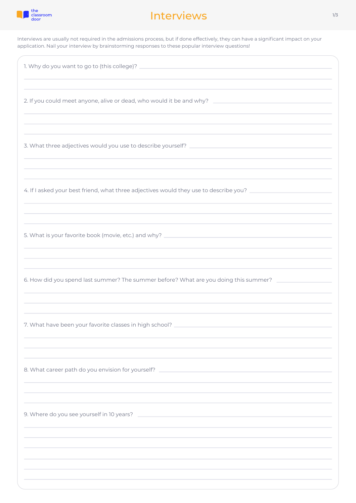

#### Interviews

Interviews are usually not required in the admissions process, but if done effectively, they can have a significant impact on your application. Nail your interview by brainstorming responses to these popular interview questions!

| 2. If you could meet anyone, alive or dead, who would it be and why?                                                                                                                               |
|----------------------------------------------------------------------------------------------------------------------------------------------------------------------------------------------------|
| ,我们也不会有什么。""我们的人,我们也不会有什么?""我们的人,我们也不会有什么?""我们的人,我们也不会有什么?""我们的人,我们也不会有什么?""我们的人                                                                                                                   |
| 4. If I asked your best friend, what three adjectives would they use to describe you? ________________________<br>,我们也不会有什么。""我们的人,我们也不会有什么?""我们的人,我们也不会有什么?""我们的人,我们也不会有什么?""我们的人,我们也不会有什么?""我们的人 |
| and the control of the control of the control of the control of the control of the control of the control of the                                                                                   |
| 6. How did you spend last summer? The summer before? What are you doing this summer?                                                                                                               |
| 7. What have been your favorite classes in high school?                                                                                                                                            |
| 8. What career path do you envision for yourself?                                                                                                                                                  |
| 9. Where do you see yourself in 10 years?                                                                                                                                                          |
|                                                                                                                                                                                                    |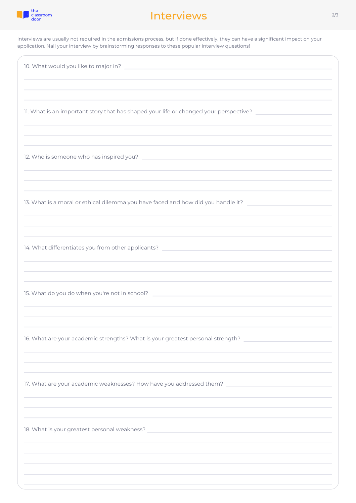

#### Interviews 2/3

Interviews are usually not required in the admissions process, but if done effectively, they can have a significant impact on your application. Nail your interview by brainstorming responses to these popular interview questions!

| 10. What would you like to major in?                                                                                                                                                                                                                                                                               |
|--------------------------------------------------------------------------------------------------------------------------------------------------------------------------------------------------------------------------------------------------------------------------------------------------------------------|
| 11. What is an important story that has shaped your life or changed your perspective?<br>,我们也不会有什么。""我们的人,我们也不会有什么?""我们的人,我们也不会有什么?""我们的人,我们也不会有什么?""我们的人,我们也不会有什么?""我们的人                                                                                                                                          |
| ,我们也不会有一个人的人,我们也不会有一个人的人,我们也不会有一个人的人,我们也不会有一个人的人,我们也不会有一个人的人,我们也不会有一个人的人,我们也不会有一个                                                                                                                                                                                                                                  |
| 13. What is a moral or ethical dilemma you have faced and how did you handle it? ____________________________                                                                                                                                                                                                      |
| 14. What differentiates you from other applicants? [14] The context of the context of the context of the context of the context of the context of the context of the context of the context of the context of the context of t<br>,我们也不会有什么。""我们的人,我们也不会有什么?""我们的人,我们也不会有什么?""我们的人,我们也不会有什么?""我们的人,我们也不会有什么?""我们的人 |
| 15. What do you do when you're not in school? Letter that the state of the state of the state of the state of                                                                                                                                                                                                      |
| 16. What are your academic strengths? What is your greatest personal strength?                                                                                                                                                                                                                                     |
| 17. What are your academic weaknesses? How have you addressed them?<br><u> 1980 - Jan Barbara Barbara, manazarta da kasas da kasas da kasas da kasas da kasas da kasas da kasas da kasa</u>                                                                                                                        |
| 18. What is your greatest personal weakness?                                                                                                                                                                                                                                                                       |
|                                                                                                                                                                                                                                                                                                                    |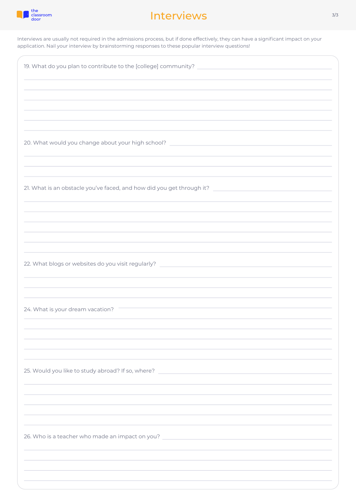

#### Interviews and the state of the state of the state of the state of the state of the state of the state of the state of the state of the state of the state of the state of the state of the state of the state of the state of

Interviews are usually not required in the admissions process, but if done effectively, they can have a significant impact on your application. Nail your interview by brainstorming responses to these popular interview questions!

| 19. What do you plan to contribute to the [college] community?<br>the control of the control of the control of the control of the control of                                                                                             |
|------------------------------------------------------------------------------------------------------------------------------------------------------------------------------------------------------------------------------------------|
|                                                                                                                                                                                                                                          |
|                                                                                                                                                                                                                                          |
|                                                                                                                                                                                                                                          |
| 20. What would you change about your high school?                                                                                                                                                                                        |
|                                                                                                                                                                                                                                          |
| 21. What is an obstacle you've faced, and how did you get through it? ______________________________                                                                                                                                     |
|                                                                                                                                                                                                                                          |
|                                                                                                                                                                                                                                          |
|                                                                                                                                                                                                                                          |
| 22. What blogs or websites do you visit regularly?<br>$\mathcal{L}^{\mathcal{L}}(\mathcal{L}^{\mathcal{L}})$ and $\mathcal{L}^{\mathcal{L}}(\mathcal{L}^{\mathcal{L}})$ . In the contract of the contract of $\mathcal{L}^{\mathcal{L}}$ |
|                                                                                                                                                                                                                                          |
| 24. What is your dream vacation?                                                                                                                                                                                                         |
|                                                                                                                                                                                                                                          |
|                                                                                                                                                                                                                                          |
| 25. Would you like to study abroad? If so, where?<br><u> 1980 - Johann Barbara, martxa alemaniar a</u>                                                                                                                                   |
|                                                                                                                                                                                                                                          |
|                                                                                                                                                                                                                                          |
| 26. Who is a teacher who made an impact on you? ________________________________                                                                                                                                                         |
|                                                                                                                                                                                                                                          |
|                                                                                                                                                                                                                                          |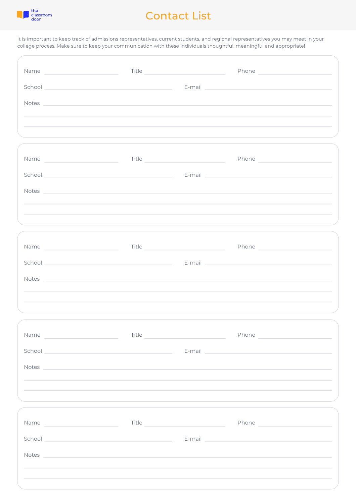

## Contact List

It is important to keep track of admissions representatives, current students, and regional representatives you may meet in your college process. Make sure to keep your communication with these individuals thoughtful, meaningful and appropriate!

|                                                                                                                                                                                                                                      |       | Title <u>Samuel Communication</u> | Phone 2008 2009 2010 2021 2022 2023 2024 2022 2023 2024 2022 2023 2024 2022 2023 2024 2025 2026 2027 2027 2028                                                                                                                |
|--------------------------------------------------------------------------------------------------------------------------------------------------------------------------------------------------------------------------------------|-------|-----------------------------------|-------------------------------------------------------------------------------------------------------------------------------------------------------------------------------------------------------------------------------|
|                                                                                                                                                                                                                                      |       |                                   |                                                                                                                                                                                                                               |
| Notes <u>and the community of the community of the community of the community of the community of the community of the community of the community of the community of the community of the community of the community of the com</u> |       |                                   |                                                                                                                                                                                                                               |
|                                                                                                                                                                                                                                      |       |                                   |                                                                                                                                                                                                                               |
| ,我们也不会有什么。""我们的人,我们也不会有什么?""我们的人,我们也不会有什么?""我们的人,我们也不会有什么?""我们的人,我们也不会有什么?""我们的人                                                                                                                                                     |       |                                   |                                                                                                                                                                                                                               |
|                                                                                                                                                                                                                                      |       |                                   |                                                                                                                                                                                                                               |
|                                                                                                                                                                                                                                      |       |                                   |                                                                                                                                                                                                                               |
|                                                                                                                                                                                                                                      |       |                                   |                                                                                                                                                                                                                               |
| Notes experiences and the second contract of the second contract of the second contract of the second contract of the second contract of the second contract of the second contract of the second contract of the second contr       |       |                                   |                                                                                                                                                                                                                               |
|                                                                                                                                                                                                                                      |       |                                   |                                                                                                                                                                                                                               |
|                                                                                                                                                                                                                                      |       |                                   |                                                                                                                                                                                                                               |
|                                                                                                                                                                                                                                      |       |                                   |                                                                                                                                                                                                                               |
| Name Title Title Communication of the Communication of the Communication of the Communication of the Communication of the Communication of the Communication of the Communication of the Communication of the Communication of       |       |                                   |                                                                                                                                                                                                                               |
|                                                                                                                                                                                                                                      |       |                                   |                                                                                                                                                                                                                               |
| Notes experiences and the second contract of the second contract of the second contract of the second contract of the second contract of the second contract of the second contract of the second contract of the second contr       |       |                                   |                                                                                                                                                                                                                               |
|                                                                                                                                                                                                                                      |       |                                   |                                                                                                                                                                                                                               |
|                                                                                                                                                                                                                                      |       |                                   |                                                                                                                                                                                                                               |
|                                                                                                                                                                                                                                      |       |                                   |                                                                                                                                                                                                                               |
| Name<br>the control of the control of the control of                                                                                                                                                                                 | Title |                                   | Phone and the contract of the contract of the contract of the contract of the contract of the contract of the contract of the contract of the contract of the contract of the contract of the contract of the contract of the |
| School <b>E-mail E-mail E-mail E-mail E-mail E-mail E-mail E-mail E-mail E-mail E-mail E-mail E-mail E-mail E-mail E-mail E-mail E-mail E-mail E-mail E-mail E-mail E-mail E-mail</b>                                                |       |                                   |                                                                                                                                                                                                                               |
| Notes experiences and the second contract of the second contract of the second contract of the second contract of the second contract of the second contract of the second contract of the second contract of the second contr       |       |                                   |                                                                                                                                                                                                                               |
|                                                                                                                                                                                                                                      |       |                                   |                                                                                                                                                                                                                               |
|                                                                                                                                                                                                                                      |       |                                   |                                                                                                                                                                                                                               |
|                                                                                                                                                                                                                                      |       |                                   |                                                                                                                                                                                                                               |
|                                                                                                                                                                                                                                      |       |                                   |                                                                                                                                                                                                                               |
|                                                                                                                                                                                                                                      |       |                                   |                                                                                                                                                                                                                               |
| Notes and the contract of the contract of the contract of the contract of the contract of the contract of the contract of the contract of the contract of the contract of the contract of the contract of the contract of the        |       |                                   |                                                                                                                                                                                                                               |
|                                                                                                                                                                                                                                      |       |                                   |                                                                                                                                                                                                                               |
|                                                                                                                                                                                                                                      |       |                                   |                                                                                                                                                                                                                               |